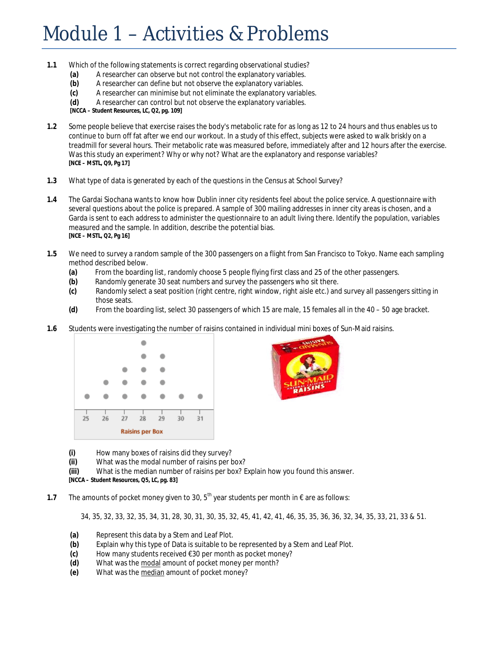## Module 1 – Activities & Problems

- **1.1** Which of the following statements is correct regarding observational studies?
	- **(a)** A researcher can observe but not control the explanatory variables.
	- **(b)** A researcher can define but not observe the explanatory variables.
	- **(c)** A researcher can minimise but not eliminate the explanatory variables.
	- **(d)** A researcher can control but not observe the explanatory variables.

**[NCCA – Student Resources, LC, Q2, pg. 109]**

- **1.2** Some people believe that exercise raises the body's metabolic rate for as long as 12 to 24 hours and thus enables us to continue to burn off fat after we end our workout. In a study of this effect, subjects were asked to walk briskly on a treadmill for several hours. Their metabolic rate was measured before, immediately after and 12 hours after the exercise. Was this study an experiment? Why or why not? What are the explanatory and response variables? **[NCE – MSTL, Q9, Pg 17]**
- **1.3** What type of data is generated by each of the questions in the Census at School Survey?
- **1.4** The Gardai Siochana wants to know how Dublin inner city residents feel about the police service. A questionnaire with several questions about the police is prepared. A sample of 300 mailing addresses in inner city areas is chosen, and a Garda is sent to each address to administer the questionnaire to an adult living there. Identify the population, variables measured and the sample. In addition, describe the potential bias. **[NCE – MSTL, Q2, Pg 16]**
- **1.5** We need to survey a random sample of the 300 passengers on a flight from San Francisco to Tokyo. Name each sampling method described below.
	- **(a)** From the boarding list, randomly choose 5 people flying first class and 25 of the other passengers.
	- **(b)** Randomly generate 30 seat numbers and survey the passengers who sit there.
	- **(c)** Randomly select a seat position (right centre, right window, right aisle etc.) and survey all passengers sitting in those seats.
	- **(d)** From the boarding list, select 30 passengers of which 15 are male, 15 females all in the 40 50 age bracket.
- **1.6** Students were investigating the number of raisins contained in individual mini boxes of Sun-Maid raisins.





**(i)** How many boxes of raisins did they survey?

**(ii)** What was the modal number of raisins per box?

**(iii)** What is the median number of raisins per box? Explain how you found this answer.

**[NCCA – Student Resources, Q5, LC, pg. 83]**

1.7 The amounts of pocket money given to 30, 5<sup>th</sup> year students per month in € are as follows:

34, 35, 32, 33, 32, 35, 34, 31, 28, 30, 31, 30, 35, 32, 45, 41, 42, 41, 46, 35, 35, 36, 36, 32, 34, 35, 33, 21, 33 & 51.

- **(a)** Represent this data by a Stem and Leaf Plot.
- **(b)** Explain why this type of Data is suitable to be represented by a Stem and Leaf Plot.
- **(c)** How many students received €30 per month as pocket money?
- **(d)** What was the modal amount of pocket money per month?
- **(e)** What was the median amount of pocket money?